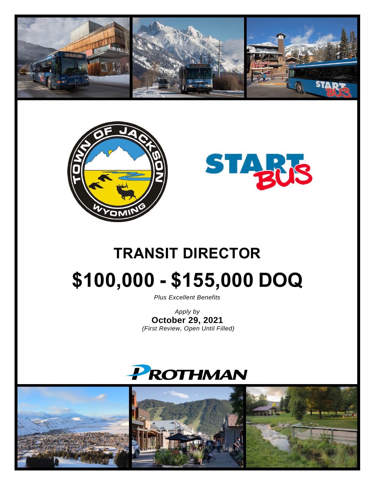





# **TRANSIT DIRECTOR \$100,000 - \$155,000 DOQ**

*Plus Excellent Benefits*

*Apply by* **October 29, 2021** *(First Review, Open Until Filled)*



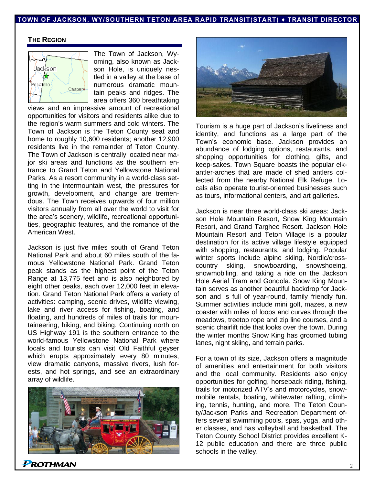#### **TOWN OF JACKSON, WY/SOUTHERN TETON AREA RAPID TRANSIT(START) ♦ TRANSIT DIRECTOR**

#### **THE REGION**



The Town of Jackson, Wyoming, also known as Jackson Hole, is uniquely nestled in a valley at the base of numerous dramatic mountain peaks and ridges. The area offers 360 breathtaking

views and an impressive amount of recreational opportunities for visitors and residents alike due to the region's warm summers and cold winters. The Town of Jackson is the Teton County seat and home to roughly 10,600 residents; another 12,900 residents live in the remainder of Teton County. The Town of Jackson is centrally located near major ski areas and functions as the southern entrance to Grand Teton and Yellowstone National Parks. As a resort community in a world-class setting in the intermountain west, the pressures for growth, development, and change are tremendous. The Town receives upwards of four million visitors annually from all over the world to visit for the area's scenery, wildlife, recreational opportunities, geographic features, and the romance of the American West.

Jackson is just five miles south of Grand Teton National Park and about 60 miles south of the famous Yellowstone National Park. Grand Teton peak stands as the highest point of the Teton Range at 13,775 feet and is also neighbored by eight other peaks, each over 12,000 feet in elevation. Grand Teton National Park offers a variety of activities: camping, scenic drives, wildlife viewing, lake and river access for fishing, boating, and floating, and hundreds of miles of trails for mountaineering, hiking, and biking. Continuing north on US Highway 191 is the southern entrance to the world-famous Yellowstone National Park where locals and tourists can visit Old Faithful geyser which erupts approximately every 80 minutes, view dramatic canyons, massive rivers, lush forests, and hot springs, and see an extraordinary array of wildlife.





Tourism is a huge part of Jackson's liveliness and identity, and functions as a large part of the Town's economic base. Jackson provides an abundance of lodging options, restaurants, and shopping opportunities for clothing, gifts, and keep-sakes. Town Square boasts the popular elkantler-arches that are made of shed antlers collected from the nearby National Elk Refuge. Locals also operate tourist-oriented businesses such as tours, informational centers, and art galleries.

Jackson is near three world-class ski areas: Jackson Hole Mountain Resort, Snow King Mountain Resort, and Grand Targhee Resort. Jackson Hole Mountain Resort and Teton Village is a popular destination for its active village lifestyle equipped with shopping, restaurants, and lodging. Popular winter sports include alpine skiing, Nordic/crosscountry skiing, snowboarding, snowshoeing, snowmobiling, and taking a ride on the Jackson Hole Aerial Tram and Gondola. Snow King Mountain serves as another beautiful backdrop for Jackson and is full of year-round, family friendly fun. Summer activities include mini golf, mazes, a new coaster with miles of loops and curves through the meadows, treetop rope and zip line courses, and a scenic chairlift ride that looks over the town. During the winter months Snow King has groomed tubing lanes, night skiing, and terrain parks.

For a town of its size, Jackson offers a magnitude of amenities and entertainment for both visitors and the local community. Residents also enjoy opportunities for golfing, horseback riding, fishing, trails for motorized ATV's and motorcycles, snowmobile rentals, boating, whitewater rafting, climbing, tennis, hunting, and more. The Teton County/Jackson Parks and Recreation Department offers several swimming pools, spas, yoga, and other classes, and has volleyball and basketball. The Teton County School District provides excellent K-12 public education and there are three public schools in the valley.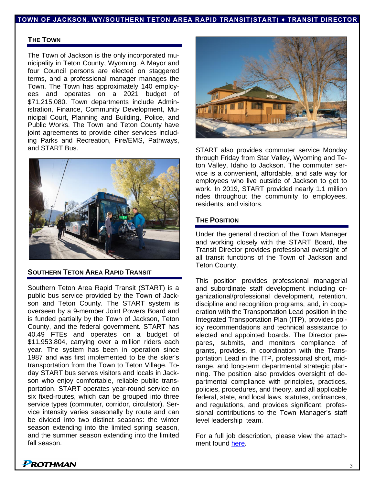#### **TOWN OF JACKSON, WY/SOUTHERN TETON AREA RAPID TRANSIT(START) ♦ TRANSIT DIRECTOR**

#### **THE TOWN**

The Town of Jackson is the only incorporated municipality in Teton County, Wyoming. A Mayor and four Council persons are elected on staggered terms, and a professional manager manages the Town. The Town has approximately 140 employees and operates on a 2021 budget of \$71,215,080. Town departments include Administration, Finance, Community Development, Municipal Court, Planning and Building, Police, and Public Works. The Town and Teton County have joint agreements to provide other services including Parks and Recreation, Fire/EMS, Pathways, and START Bus.



#### **SOUTHERN TETON AREA RAPID TRANSIT**

Southern Teton Area Rapid Transit (START) is a public bus service provided by the Town of Jackson and Teton County. The START system is overseen by a 9-member Joint Powers Board and is funded partially by the Town of Jackson, Teton County, and the federal government. START has 40.49 FTEs and operates on a budget of \$11,953,804, carrying over a million riders each year. The system has been in operation since 1987 and was first implemented to be the skier's transportation from the Town to Teton Village. Today START bus serves visitors and locals in Jackson who enjoy comfortable, reliable public transportation. START operates year‐round service on six fixed-routes, which can be grouped into three service types (commuter, corridor, circulator). Service intensity varies seasonally by route and can be divided into two distinct seasons: the winter season extending into the limited spring season, and the summer season extending into the limited fall season.



START also provides commuter service Monday through Friday from Star Valley, Wyoming and Teton Valley, Idaho to Jackson. The commuter service is a convenient, affordable, and safe way for employees who live outside of Jackson to get to work. In 2019, START provided nearly 1.1 million rides throughout the community to employees, residents, and visitors.

#### **THE POSITION**

Under the general direction of the Town Manager and working closely with the START Board, the Transit Director provides professional oversight of all transit functions of the Town of Jackson and Teton County.

This position provides professional managerial and subordinate staff development including organizational/professional development, retention, discipline and recognition programs, and, in cooperation with the Transportation Lead position in the Integrated Transportation Plan (ITP), provides policy recommendations and technical assistance to elected and appointed boards. The Director prepares, submits, and monitors compliance of grants, provides, in coordination with the Transportation Lead in the ITP, professional short, midrange, and long-term departmental strategic planning. The position also provides oversight of departmental compliance with principles, practices, policies, procedures, and theory, and all applicable federal, state, and local laws, statutes, ordinances, and regulations, and provides significant, professional contributions to the Town Manager's staff level leadership team.

For a full job description, please view the attachment found [here.](https://prothman.com/JobFiles/2905/Transit%20Director%20Job%20Description.pdf)

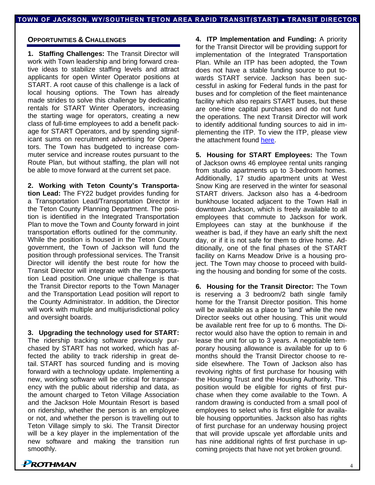#### **OPPORTUNITIES & CHALLENGES**

**1. Staffing Challenges:** The Transit Director will work with Town leadership and bring forward creative ideas to stabilize staffing levels and attract applicants for open Winter Operator positions at START. A root cause of this challenge is a lack of local housing options. The Town has already made strides to solve this challenge by dedicating rentals for START Winter Operators, increasing the starting wage for operators, creating a new class of full-time employees to add a benefit package for START Operators, and by spending significant sums on recruitment advertising for Operators. The Town has budgeted to increase commuter service and increase routes pursuant to the Route Plan, but without staffing, the plan will not be able to move forward at the current set pace.

**2. Working with Teton County's Transportation Lead:** The FY22 budget provides funding for a Transportation Lead/Transportation Director in the Teton County Planning Department. The position is identified in the Integrated Transportation Plan to move the Town and County forward in joint transportation efforts outlined for the community. While the position is housed in the Teton County government, the Town of Jackson will fund the position through professional services. The Transit Director will identify the best route for how the Transit Director will integrate with the Transportation Lead position. One unique challenge is that the Transit Director reports to the Town Manager and the Transportation Lead position will report to the County Administrator. In addition, the Director will work with multiple and multijurisdictional policy and oversight boards.

**3. Upgrading the technology used for START:** The ridership tracking software previously purchased by START has not worked, which has affected the ability to track ridership in great detail. START has sourced funding and is moving forward with a technology update. Implementing a new, working software will be critical for transparency with the public about ridership and data, as the amount charged to Teton Village Association and the Jackson Hole Mountain Resort is based on ridership, whether the person is an employee or not, and whether the person is travelling out to Teton Village simply to ski. The Transit Director will be a key player in the implementation of the new software and making the transition run smoothly.

**4. ITP Implementation and Funding:** A priority for the Transit Director will be providing support for implementation of the Integrated Transportation Plan. While an ITP has been adopted, the Town does not have a stable funding source to put towards START service. Jackson has been successful in asking for Federal funds in the past for buses and for completion of the fleet maintenance facility which also repairs START buses, but these are one-time capital purchases and do not fund the operations. The next Transit Director will work to identify additional funding sources to aid in implementing the ITP. To view the ITP, please view the attachment found [here.](https://prothman.com/JobFiles/2905/Jackson%20Teton%20ITP%202020%20Technical%20Update.pdf)

**5. Housing for START Employees:** The Town of Jackson owns 46 employee rental units ranging from studio apartments up to 3-bedroom homes. Additionally, 17 studio apartment units at West Snow King are reserved in the winter for seasonal START drivers. Jackson also has a 4-bedroom bunkhouse located adjacent to the Town Hall in downtown Jackson, which is freely available to all employees that commute to Jackson for work. Employees can stay at the bunkhouse if the weather is bad, if they have an early shift the next day, or if it is not safe for them to drive home. Additionally, one of the final phases of the START facility on Karns Meadow Drive is a housing project. The Town may choose to proceed with building the housing and bonding for some of the costs.

**6. Housing for the Transit Director:** The Town is reserving a 3 bedroom/2 bath single family home for the Transit Director position. This home will be available as a place to 'land' while the new Director seeks out other housing. This unit would be available rent free for up to 6 months. The Director would also have the option to remain in and lease the unit for up to 3 years. A negotiable temporary housing allowance is available for up to 6 months should the Transit Director choose to reside elsewhere. The Town of Jackson also has revolving rights of first purchase for housing with the Housing Trust and the Housing Authority. This position would be eligible for rights of first purchase when they come available to the Town. A random drawing is conducted from a small pool of employees to select who is first eligible for available housing opportunities. Jackson also has rights of first purchase for an underway housing project that will provide upscale yet affordable units and has nine additional rights of first purchase in upcoming projects that have not yet broken ground.